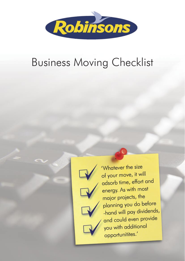

'Whatever the size of your move, it will adsorb time, effort and energy. As with most major projects, the planning you do before -hand will pay dividends, and could even provide you with additional opportunitites.'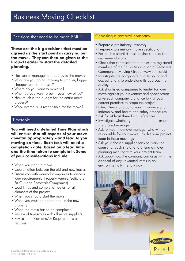### Decisions that need to be made EARLY

**These are the big decisions that must be agreed as the start point in carrying out the move. They can then be given to the Project Leader to start the detailed planning.**

- Has senior management approved the move?
- What are you doing: moving to smaller, bigger, cheaper, better premises?
- Where do you want to move to?
- When do you want to be in your new office?
- How much is the budget for the entire move process?
- Who, internally, is responsible for the move?

### Timetable

**You will need a detailed Time Plan which will ensure that all aspects of your move dovetail appropriately – and lead to you moving on time. Each task will need a completion date, based on a lead time and the time taken to complete it. Some of your considerations include:**

- When you want to move
- Coordination between the old and new leases
- Discussion with external companies to discuss your requirements (Property Agents, Solicitors, Fit-Out and Removals Companies)
- Lead times and completion dates for all elements of the project
- When you should start the move
- When you must be operational in the new property
- When the move has to be completed
- Review of timescales with all move suppliers
- Revise Time Plan and/or Requirements as required

### Choosing a removal company

- Prepare a preliminary inventory
- Prepare a preliminary move specification
- Research a shortlist ask business contacts for recommendations
- Check that shortlisted companies are registered members of the British Association of Removers' Commercial Moving Group (www.bar.co.uk)
- Investigate the company's quality policy and accreditations to understand its approach to quality
- Ask shortlisted companies to tender for your move against your inventory and specification
- Give each company a chance to visit your current premises to scope the project
- Check terms and conditions, insurance and indemnity, and health and safety procedures
- Ask for at least three local references
- Investigate whether you require an off- or onsite project manager
- Ask to meet the move manager who will be responsible for your move. Involve your project team in these meetings
- Ask your chosen supplier back to 'walk the course' at each site and to attend a move planning meeting with your project team
- Ask about how the company can assist with the disposal of any unwanted items in an environmentally friendly way.

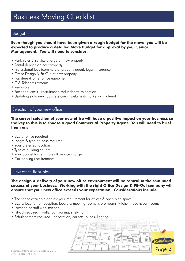### Budget

#### **Even though you should have been given a rough budget for the move, you will be expected to produce a detailed Move Budget for approval by your Senior Management. You will need to consider:**

- Rent, rates & service charge on new property
- Rental deposit on new property
- Professional fees (commercial property agent, legal, insurance)
- Office Design & Fit-Out of new property
- Furniture & other office equipment
- IT & Telecoms systems
- Removals
- Personnel costs recruitment, redundancy, relocation
- Updating stationery, business cards, website & marketing material

### Selection of your new office

#### **The correct selection of your new office will have a positive impact on your business so the key to this is to choose a good Commercial Property Agent. You will need to brief them on:**

- Size of office required
- Length & type of lease required
- Your preferred location
- Type of building sought
- Your budget for rent, rates & service charge
- Car parking requirements

### New office floor plan

**The design & delivery of your new office environment will be central to the continued success of your business. Working with the right Office Design & Fit-Out company will ensure that your new office exceeds your expectation. Considerations include**

- The space available against your requirement for offices & open plan space
- Size & location of reception, board & meeting rooms, store rooms, kitchen, loos & bathrooms
- Location of staff workstations
- Fit-out required walls, partitioning, shelving
- Refurbishment required decoration, carpets, blinds, lighting

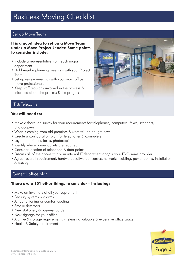### Set up Move Team

#### **It is a good idea to set up a Move Team under a Move Project Leader. Some points to consider include:**

- Include a representative from each major department
- Hold regular planning meetings with your Project Team
- Set up review meetings with your main office move professionals
- Keep staff regularly involved in the process & informed about the process & the progress



### IT & Telecoms

### **You will need to:**

- Make a thorough survey for your requirements for telephones, computers, faxes, scanners, photocopiers
- What is coming from old premises & what will be bought new
- Create a configuration plan for telephones & computers
- Layout of printers, faxes, photocopiers
- Identify where power outlets are required
- Consider location of telephone & data points
- Discuss all of the above with your internal IT department and/or your IT/Comms provider
- Agree: overall requirement, hardware, software, licenses, networks, cabling, power points, installation & testing

### General office plan

### **There are a 101 other things to consider – including:**

- Make an inventory of all your equipment
- Security systems & alarms
- Air conditioning or comfort cooling
- Smoke detectors
- New stationery & business cards
- New signage for your office
- Archive & storage requirements releasing valuable & expensive office space
- Health & Safety requirements

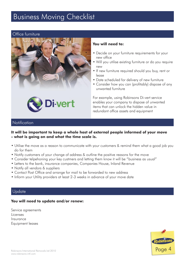### Office furniture



### **You will need to:**

- Decide on your furniture requirements for your new office
- Will you utilise existing furniture or do you require new
- If new furniture required should you buy, rent or lease
- Date scheduled for delivery of new furniture
- Consider how you can (profitably) dispose of any unwanted furniture

For example, using Robinsons Di-vert service enables your company to dispose of unwanted items that can unlock the hidden value in redundant office assets and equipment

### **Notification**

### **It will be important to keep a whole host of external people informed of your move - what is going on and what the time scale is.**

- Utilise the move as a reason to communicate with your customers & remind them what a good job you do for them
- Notify customers of your change of address & outline the positive reasons for the move
- Consider telpehoning your key custmers and letting them know it will be "business as usual"
- Letters to the bank, insurance companies, Companies House, Inland Revenue
- Notify all vendors & suppliers
- Contact Post Office and arrange for mail to be forwarded to new address
- Inform your Utility providers at least 2-3 weeks in advance of your move date

### **Update**

### **You will need to update and/or renew:**

Service agreements Licenses Insurance Equipment leases

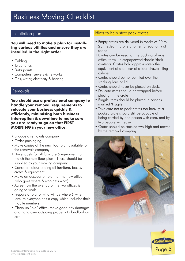**You will need to make a plan for installing various utilities and ensure they are installed in the right order**

- Cabling
- Telephones
- Data points
- Computers, servers & networks
- Gas, water, electricity & heating

### Removals

**You should use a professional company to handle your removal requirements to relocate your business quickly & efficiently, minimising both business interruption & downtime to make sure you are ready to go on that FIRST MORNING in your new office.**

- Engage a removals company
- Order packaging
- Make copies of the new floor plan available to the removals company
- Have labels for all furniture & equipment to match the new floor plan - These should be supplied by your moving company
- Consider colour-coding all furniture, boxes, crates & equipment
- Make an occupation plan for the new office (who goes where & who gets what)
- Agree how the overlap of the two offices is going to work
- Prepare a rota for who will be where & when (ensure everyone has a copy which includes their mobile numbers)
- Clean up "old" office, make good any damages and hand over outgoing property to landlord on exit

### Installation plan **Hints to help staff pack crates**

- Empty crates are delivered in stacks of 20 to 25, nested into one another for economy of space
- Crates can be used for the packing of most office items – files/paperwork/books/desk contents. Crates hold approximately the equivalent of a drawer of a four-drawer filing cabinet
- Crates should be not be filled over the stacking bars or lid
- Crates should never be placed on desks
- Delicate items should be wrapped before placing in the crate
- Fragile items should be placed in cartons marked 'Fragile'
- Take care not to pack crates too heavily: a packed crate should still be capable of being carried by one person with care, and by two people with ease
- Crates should be stacked two-high and moved by the removal company